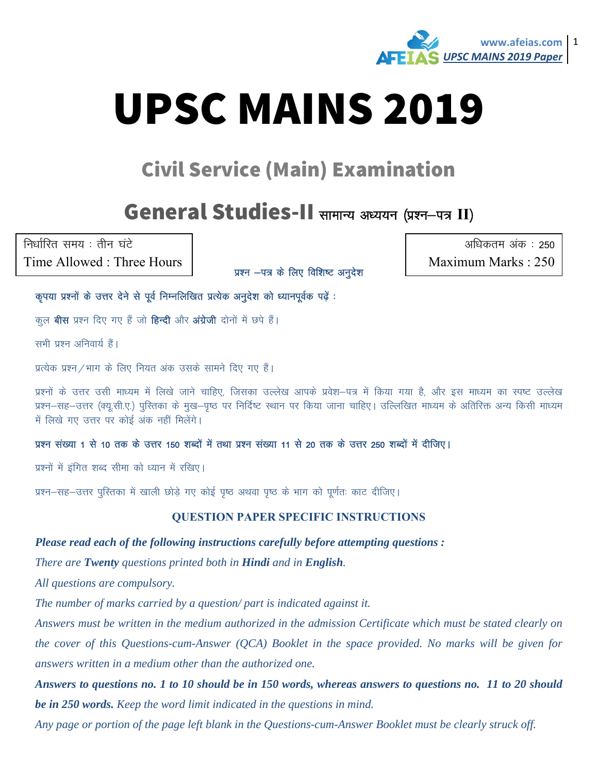

# **UPSC MAINS 2019**

## **Civil Service (Main) Examination**

### General Studies-II सामान्य अध्ययन (प्रश्न-पत्र II)

निर्धारित समय : तीन घंटे Time Allowed: Three Hours

प्रश्न -पत्र के लिए विशिष्ट अनुदेश

अधिकतम अंक: 250 Maximum Marks: 250

कृपया प्रश्नों के उत्तर देने से पूर्व निम्नलिखित प्रत्येक अनुदेश को ध्यानपूर्वक पढ़ें :

कल **बीस** प्रश्न दिए गए हैं जो **हिन्दी** और अंग्रेजी दोनों में छपे हैं।

सभी प्रश्न अनिवार्य हैं।

प्रत्येक प्रश्न / भाग के लिए नियत अंक उसके सामने दिए गए हैं।

प्रश्नों के उत्तर उसी माध्यम में लिखे जाने चाहिए, जिसका उल्लेख आपके प्रवेश–पत्र में किया गया है, और इस माध्यम का स्पष्ट उल्लेख प्रश्न–सह–उत्तर (क्यु.सी.ए.) पुरितका के मुख–पुष्ठ पर निर्दिष्ट स्थान पर किया जाना चाहिए। उल्लिखित माध्यम के अतिरिक्त अन्य किसी माध्यम में लिखे गए उत्तर पर कोई अंक नहीं मिलेंगे।

#### प्रश्न संख्या 1 से 10 तक के उत्तर 150 शब्दों में तथा प्रश्न संख्या 11 से 20 तक के उत्तर 250 शब्दों में दीजिए।

प्रश्नों में इंगित शब्द सीमा को ध्यान में रखिए।

प्रश्न–सह–उत्तर पुस्तिका में खाली छोड़े गए कोई पृष्ठ अथवा पृष्ठ के भाग को पूर्णतः काट दीजिए।

#### **QUESTION PAPER SPECIFIC INSTRUCTIONS**

Please read each of the following instructions carefully before attempting questions :

There are Twenty questions printed both in Hindi and in English.

All questions are compulsory.

The number of marks carried by a question/ part is indicated against it.

Answers must be written in the medium authorized in the admission Certificate which must be stated clearly on the cover of this Questions-cum-Answer (QCA) Booklet in the space provided. No marks will be given for answers written in a medium other than the authorized one.

Answers to questions no. 1 to 10 should be in 150 words, whereas answers to questions no. 11 to 20 should be in 250 words. Keep the word limit indicated in the questions in mind.

Any page or portion of the page left blank in the Questions-cum-Answer Booklet must be clearly struck off.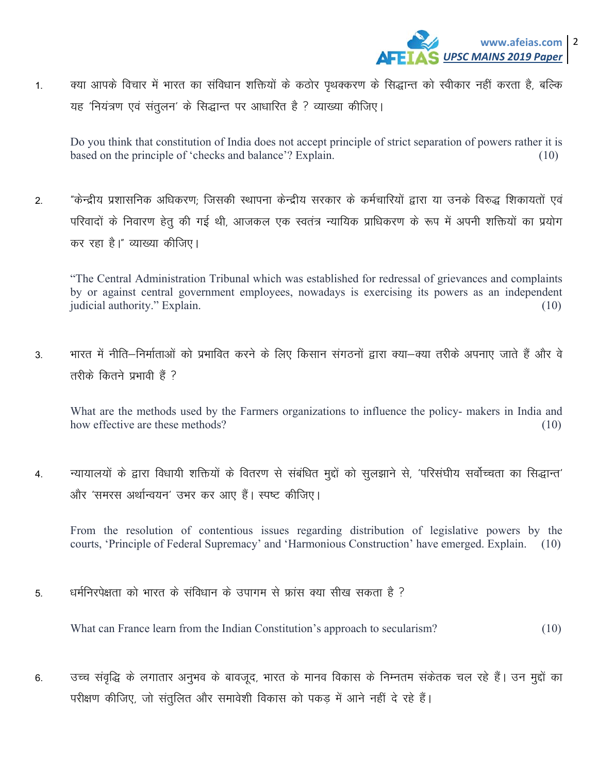1. व्या आपके विचार में भारत का संविधान शक्तियों के कठोर पृथक्करण के सिद्धान्त को स्वीकार नहीं करता है, बल्कि यह 'नियंत्रण एवं संतुलन' के सिद्धान्त पर आधारित है ? व्याख्या कीजिए।

Do you think that constitution of India does not accept principle of strict separation of powers rather it is based on the principle of 'checks and balance'? Explain. (10)

2. "केन्द्रीय प्रशासनिक अधिकरण; जिसकी स्थापना केन्द्रीय सरकार के कर्मचारियों द्वारा या उनके विरुद्ध शिकायतों एवं परिवादों के निवारण हेतू की गई थी, आजकल एक स्वतंत्र न्यायिक प्राधिकरण के रूप में अपनी शक्तियों का प्रयोग कर रहा है।" व्याख्या कीजिए।

"The Central Administration Tribunal which was established for redressal of grievances and complaints by or against central government employees, nowadays is exercising its powers as an independent judicial authority." Explain. (10)

3. भारत में नीति–निर्माताओं को प्रभावित करने के लिए किसान संगठनों द्वारा क्या–क्या तरीके अपनाए जाते हैं और वे तरीके कितने प्रभावी हैं  $\overline{?}$ 

What are the methods used by the Farmers organizations to influence the policy- makers in India and how effective are these methods?(10)

4. न्यायालयों के द्वारा विधायी शक्तियों के वितरण से संबंधित मुद्दों को सुलझाने से, 'परिसंघीय सर्वोच्चता का सिद्धान्त' ओर 'समरस अर्थान्वयन' उभर कर आए हैं। स्पष्ट कीजिए।

From the resolution of contentious issues regarding distribution of legislative powers by the courts, 'Principle of Federal Supremacy' and 'Harmonious Construction' have emerged. Explain. (10)

5- /keZfujis{krk dks Hkkjr ds lafo/kku ds mikxe ls Ýkal D;k lh[k ldrk gS \

What can France learn from the Indian Constitution's approach to secularism? (10)

6. व्या संवृद्धि के लगातार अनुभव के बावजूद, भारत के मानव विकास के निम्नतम संकेतक चल रहे हैं। उन मुद्दों का परीक्षण कीजिए, जो संतुलित और समावेशी विकास को पकड में आने नहीं दे रहे हैं।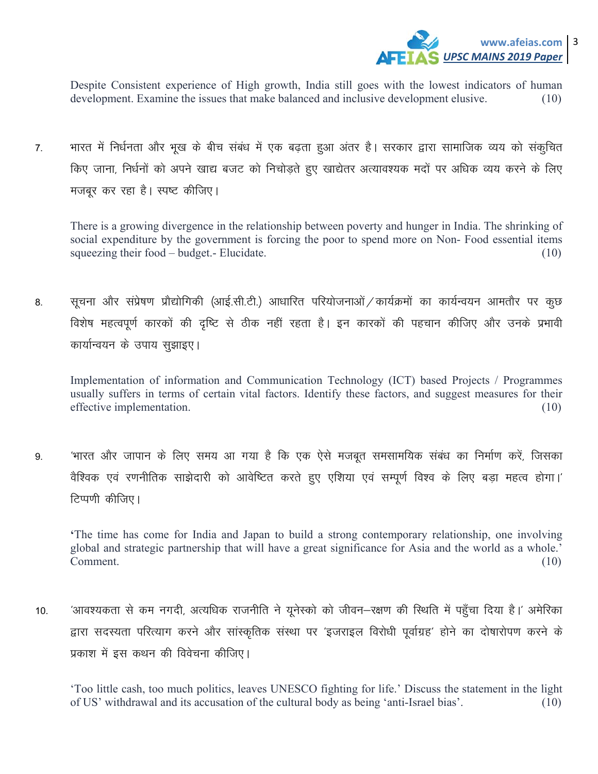

Despite Consistent experience of High growth, India still goes with the lowest indicators of human development. Examine the issues that make balanced and inclusive development elusive. (10)

7. भारत में निर्धनता और भूख के बीच संबंध में एक बढ़ता हुआ अंतर है। सरकार द्वारा सामाजिक व्यय को संकूचित किए जाना, निर्धनों को अपने खाद्य बजट को निचोडते हुए खाद्येतर अत्यावश्यक मदों पर अधिक व्यय करने के लिए मजबूर कर रहा है। स्पष्ट कीजिए।

There is a growing divergence in the relationship between poverty and hunger in India. The shrinking of social expenditure by the government is forcing the poor to spend more on Non- Food essential items squeezing their food – budget.- Elucidate. (10)

8. सूचना और संप्रेषण प्रौद्योगिकी (आई.सी.टी.) आधारित परियोजनाओं / कार्यक्रमों का कार्यन्वयन आमतौर पर कुछ विशेष महत्वपूर्ण कारकों की दृष्टि से ठीक नहीं रहता है। इन कारकों की पहचान कीजिए और उनके प्रभावी कार्यान्वयन के उपाय सुझाइए।

Implementation of information and Communication Technology (ICT) based Projects / Programmes usually suffers in terms of certain vital factors. Identify these factors, and suggest measures for their effective implementation. (10)

9. 'भारत और जापान के लिए समय आ गया है कि एक ऐसे मजबूत समसामयिक संबंध का निर्माण करें, जिसका वैश्विक एवं रणनीतिक साझेदारी को आवेष्टित करते हुए एशिया एवं सम्पूर्ण विश्व के लिए बड़ा महत्व होगा।' टिप्पणी कीजिए।

**'**The time has come for India and Japan to build a strong contemporary relationship, one involving global and strategic partnership that will have a great significance for Asia and the world as a whole.' Comment. (10)

10. व्यावश्यकता से कम नगदी, अत्यधिक राजनीति ने यूनेस्को को जीवन-रक्षण की स्थिति में पहुँचा दिया है।' अमेरिका द्वारा सदस्यता परित्याग करने और सांस्कृतिक संस्था पर 'इजराइल विरोधी पूर्वाग्रह' होने का दोषारोपण करने के प्रकाश में इस कथन की विवेचना कीजिए।

'Too little cash, too much politics, leaves UNESCO fighting for life.' Discuss the statement in the light of US' withdrawal and its accusation of the cultural body as being 'anti-Israel bias'. (10)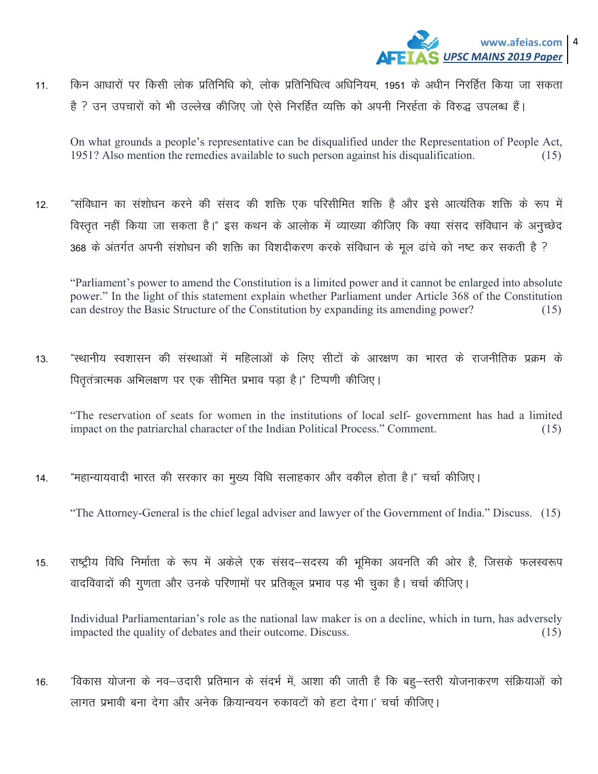

किन आधारों पर किसी लोक प्रतिनिधि को, लोक प्रतिनिधित्व अधिनियम, 1951 के अधीन निरर्हित किया जा सकता  $11.$ है ? उन उपचारों को भी उल्लेख कीजिए जो ऐसे निरर्हित व्यक्ति को अपनी निरर्हता के विरुद्ध उपलब्ध हैं।

On what grounds a people's representative can be disqualified under the Representation of People Act, 1951? Also mention the remedies available to such person against his disqualification.  $(15)$ 

"संविधान का संशोधन करने की संसद की शक्ति एक परिसीमित शक्ति है और इसे आत्यंतिक शक्ति के रूप में  $12<sup>°</sup>$ विस्तृत नहीं किया जा सकता है।" इस कथन के आलोक में व्याख्या कीजिए कि क्या संसद संविधान के अनुच्छेद 368 के अंतर्गत अपनी संशोधन की शक्ति का विशदीकरण करके संविधान के मूल ढांचे को नष्ट कर सकती है ?

"Parliament's power to amend the Constitution is a limited power and it cannot be enlarged into absolute power." In the light of this statement explain whether Parliament under Article 368 of the Constitution can destroy the Basic Structure of the Constitution by expanding its amending power?  $(15)$ 

"स्थानीय स्वशासन की संस्थाओं में महिलाओं के लिए सीटों के आरक्षण का भारत के राजनीतिक प्रक्रम के  $13<sub>1</sub>$ पितृतंत्रात्मक अभिलक्षण पर एक सीमित प्रभाव पड़ा है।" टिप्पणी कीजिए।

"The reservation of seats for women in the institutions of local self-government has had a limited impact on the patriarchal character of the Indian Political Process." Comment.  $(15)$ 

"महान्यायवादी भारत की सरकार का मुख्य विधि सलाहकार और वकील होता है।" चर्चा कीजिए।  $14$ 

"The Attorney-General is the chief legal adviser and lawyer of the Government of India." Discuss. (15)

राष्ट्रीय विधि निर्माता के रूप में अकेले एक संसद–सदस्य की भुमिका अवनति की ओर है, जिसके फलस्वरूप  $15.$ वादविवादों की गुणता और उनके परिणामों पर प्रतिकृल प्रभाव पड़ भी चुका है। चर्चा कीजिए।

Individual Parliamentarian's role as the national law maker is on a decline, which in turn, has adversely impacted the quality of debates and their outcome. Discuss.  $(15)$ 

'विकास योजना के नव-उदारी प्रतिमान के संदर्भ में, आशा की जाती है कि बहू-स्तरी योजनाकरण संक्रियाओं को  $16.$ लागत प्रभावी बना देगा और अनेक क्रियान्वयन रुकावटों को हटा देगा।' चर्चा कीजिए।